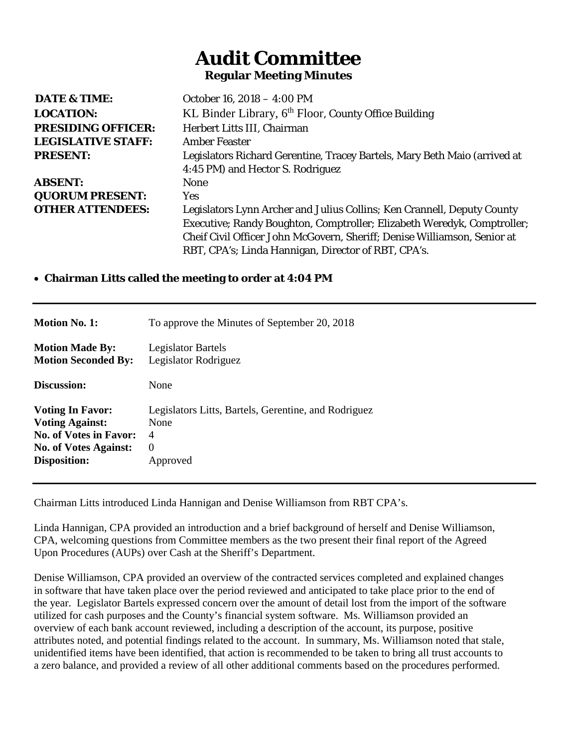## **Audit Committee Regular Meeting Minutes**

| <b>DATE &amp; TIME:</b>   | October 16, 2018 - 4:00 PM                                                |  |
|---------------------------|---------------------------------------------------------------------------|--|
| <b>LOCATION:</b>          | KL Binder Library, 6 <sup>th</sup> Floor, County Office Building          |  |
| <b>PRESIDING OFFICER:</b> | Herbert Litts III, Chairman                                               |  |
| <b>LEGISLATIVE STAFF:</b> | <b>Amber Feaster</b>                                                      |  |
| <b>PRESENT:</b>           | Legislators Richard Gerentine, Tracey Bartels, Mary Beth Maio (arrived at |  |
|                           | 4:45 PM) and Hector S. Rodriguez                                          |  |
| <b>ABSENT:</b>            | <b>None</b>                                                               |  |
| <b>QUORUM PRESENT:</b>    | <b>Yes</b>                                                                |  |
| <b>OTHER ATTENDEES:</b>   | Legislators Lynn Archer and Julius Collins; Ken Crannell, Deputy County   |  |
|                           | Executive; Randy Boughton, Comptroller; Elizabeth Weredyk, Comptroller;   |  |
|                           | Cheif Civil Officer John McGovern, Sheriff; Denise Williamson, Senior at  |  |
|                           | RBT, CPA's; Linda Hannigan, Director of RBT, CPA's.                       |  |

## • **Chairman Litts called the meeting to order at 4:04 PM**

| <b>Motion No. 1:</b>          | To approve the Minutes of September 20, 2018         |
|-------------------------------|------------------------------------------------------|
| <b>Motion Made By:</b>        | <b>Legislator Bartels</b>                            |
| <b>Motion Seconded By:</b>    | Legislator Rodriguez                                 |
| Discussion:                   | None                                                 |
| <b>Voting In Favor:</b>       | Legislators Litts, Bartels, Gerentine, and Rodriguez |
| <b>Voting Against:</b>        | None                                                 |
| <b>No. of Votes in Favor:</b> | 4                                                    |
| <b>No. of Votes Against:</b>  | $\Omega$                                             |
| <b>Disposition:</b>           | Approved                                             |

Chairman Litts introduced Linda Hannigan and Denise Williamson from RBT CPA's.

Linda Hannigan, CPA provided an introduction and a brief background of herself and Denise Williamson, CPA, welcoming questions from Committee members as the two present their final report of the Agreed Upon Procedures (AUPs) over Cash at the Sheriff's Department.

Denise Williamson, CPA provided an overview of the contracted services completed and explained changes in software that have taken place over the period reviewed and anticipated to take place prior to the end of the year. Legislator Bartels expressed concern over the amount of detail lost from the import of the software utilized for cash purposes and the County's financial system software. Ms. Williamson provided an overview of each bank account reviewed, including a description of the account, its purpose, positive attributes noted, and potential findings related to the account. In summary, Ms. Williamson noted that stale, unidentified items have been identified, that action is recommended to be taken to bring all trust accounts to a zero balance, and provided a review of all other additional comments based on the procedures performed.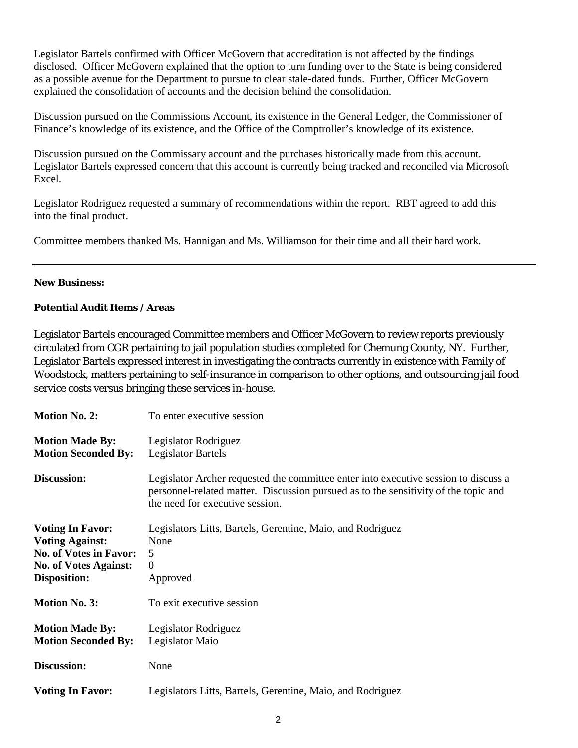Legislator Bartels confirmed with Officer McGovern that accreditation is not affected by the findings disclosed. Officer McGovern explained that the option to turn funding over to the State is being considered as a possible avenue for the Department to pursue to clear stale-dated funds. Further, Officer McGovern explained the consolidation of accounts and the decision behind the consolidation.

Discussion pursued on the Commissions Account, its existence in the General Ledger, the Commissioner of Finance's knowledge of its existence, and the Office of the Comptroller's knowledge of its existence.

Discussion pursued on the Commissary account and the purchases historically made from this account. Legislator Bartels expressed concern that this account is currently being tracked and reconciled via Microsoft Excel.

Legislator Rodriguez requested a summary of recommendations within the report. RBT agreed to add this into the final product.

Committee members thanked Ms. Hannigan and Ms. Williamson for their time and all their hard work.

## **New Business:**

## **Potential Audit Items / Areas**

Legislator Bartels encouraged Committee members and Officer McGovern to review reports previously circulated from CGR pertaining to jail population studies completed for Chemung County, NY. Further, Legislator Bartels expressed interest in investigating the contracts currently in existence with Family of Woodstock, matters pertaining to self-insurance in comparison to other options, and outsourcing jail food service costs versus bringing these services in-house.

| <b>Motion No. 2:</b>                                                                                                               | To enter executive session                                                                                                                                                                                    |
|------------------------------------------------------------------------------------------------------------------------------------|---------------------------------------------------------------------------------------------------------------------------------------------------------------------------------------------------------------|
| <b>Motion Made By:</b><br><b>Motion Seconded By:</b>                                                                               | Legislator Rodriguez<br><b>Legislator Bartels</b>                                                                                                                                                             |
| Discussion:                                                                                                                        | Legislator Archer requested the committee enter into executive session to discuss a<br>personnel-related matter. Discussion pursued as to the sensitivity of the topic and<br>the need for executive session. |
| <b>Voting In Favor:</b><br><b>Voting Against:</b><br><b>No. of Votes in Favor:</b><br><b>No. of Votes Against:</b><br>Disposition: | Legislators Litts, Bartels, Gerentine, Maio, and Rodriguez<br>None<br>5<br>$\boldsymbol{0}$<br>Approved                                                                                                       |
| <b>Motion No. 3:</b>                                                                                                               | To exit executive session                                                                                                                                                                                     |
| <b>Motion Made By:</b><br><b>Motion Seconded By:</b>                                                                               | Legislator Rodriguez<br>Legislator Maio                                                                                                                                                                       |
| Discussion:                                                                                                                        | None                                                                                                                                                                                                          |
| <b>Voting In Favor:</b>                                                                                                            | Legislators Litts, Bartels, Gerentine, Maio, and Rodriguez                                                                                                                                                    |